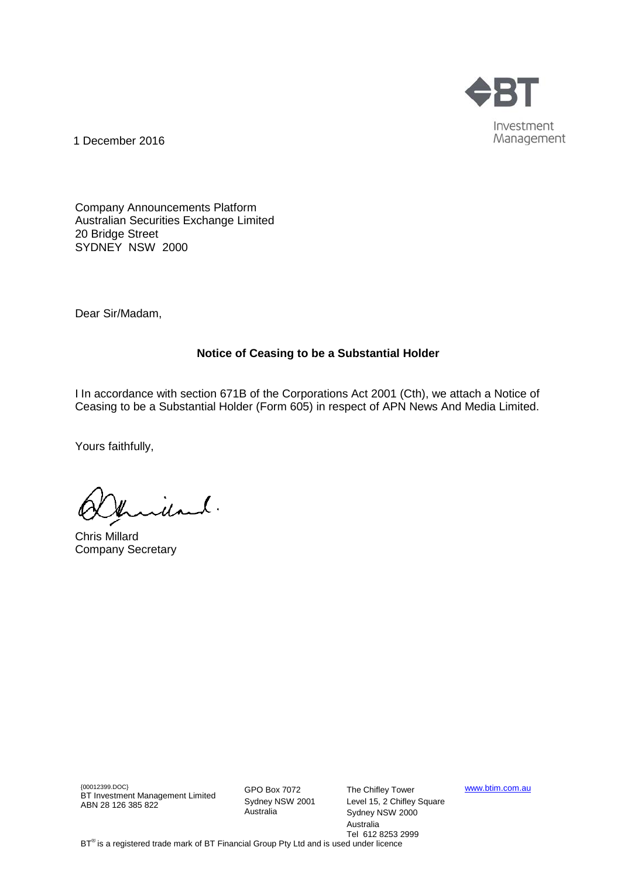

1 December 2016

Company Announcements Platform Australian Securities Exchange Limited 20 Bridge Street SYDNEY NSW 2000

Dear Sir/Madam,

## **Notice of Ceasing to be a Substantial Holder**

I In accordance with section 671B of the Corporations Act 2001 (Cth), we attach a Notice of Ceasing to be a Substantial Holder (Form 605) in respect of APN News And Media Limited.

Yours faithfully,

idand.

Chris Millard Company Secretary

{00012399.DOC} BT Investment Management Limited ABN 28 126 385 822

GPO Box 7072 Sydney NSW 2001 Australia

The Chifley Tower Level 15, 2 Chifley Square Sydney NSW 2000 Australia Tel 612 8253 2999

[www.btim.com.au](http://www.btim.com.au/)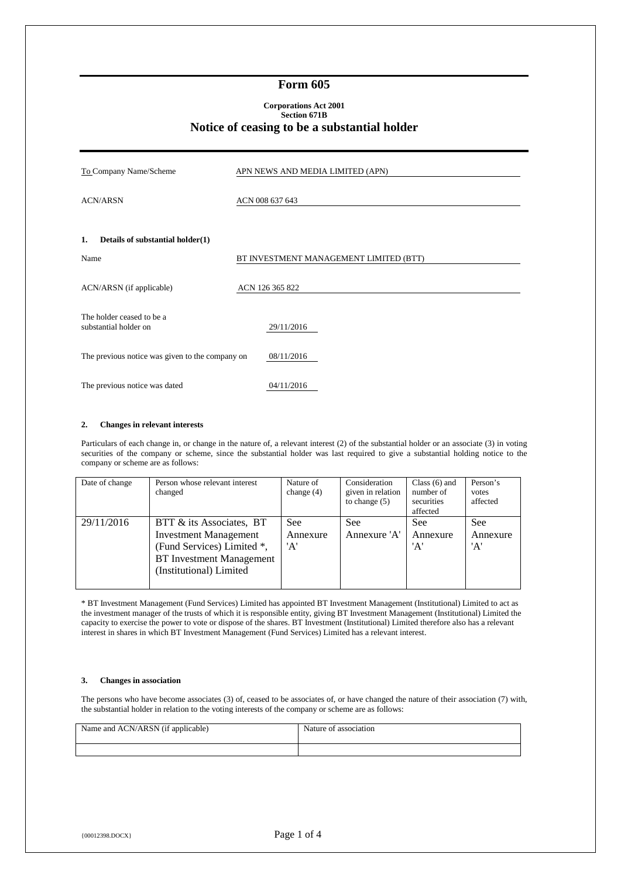### **Form 605**

#### **Corporations Act 2001 Section 671B Notice of ceasing to be a substantial holder**

| To Company Name/Scheme                             | APN NEWS AND MEDIA LIMITED (APN)       |
|----------------------------------------------------|----------------------------------------|
| <b>ACN/ARSN</b>                                    | ACN 008 637 643                        |
| 1.<br>Details of substantial holder(1)             |                                        |
| Name                                               | BT INVESTMENT MANAGEMENT LIMITED (BTT) |
| ACN/ARSN (if applicable)                           | ACN 126 365 822                        |
| The holder ceased to be a<br>substantial holder on | 29/11/2016                             |
| The previous notice was given to the company on    | 08/11/2016                             |
| The previous notice was dated                      | 04/11/2016                             |

#### **2. Changes in relevant interests**

Particulars of each change in, or change in the nature of, a relevant interest (2) of the substantial holder or an associate (3) in voting securities of the company or scheme, since the substantial holder was last required to give a substantial holding notice to the company or scheme are as follows:

| Date of change | Person whose relevant interest<br>changed                                                                                                            | Nature of<br>change $(4)$ | Consideration<br>given in relation<br>to change $(5)$ | Class $(6)$ and<br>number of<br>securities<br>affected | Person's<br>votes<br>affected |
|----------------|------------------------------------------------------------------------------------------------------------------------------------------------------|---------------------------|-------------------------------------------------------|--------------------------------------------------------|-------------------------------|
| 29/11/2016     | BTT & its Associates, BT<br><b>Investment Management</b><br>(Fund Services) Limited *,<br><b>BT</b> Investment Management<br>(Institutional) Limited | See<br>Annexure<br>'A'    | See<br>Annexure 'A'                                   | <b>See</b><br>Annexure<br>'A'                          | <b>See</b><br>Annexure<br>'A' |

\* BT Investment Management (Fund Services) Limited has appointed BT Investment Management (Institutional) Limited to act as the investment manager of the trusts of which it is responsible entity, giving BT Investment Management (Institutional) Limited the capacity to exercise the power to vote or dispose of the shares. BT Investment (Institutional) Limited therefore also has a relevant interest in shares in which BT Investment Management (Fund Services) Limited has a relevant interest.

#### **3. Changes in association**

The persons who have become associates (3) of, ceased to be associates of, or have changed the nature of their association (7) with, the substantial holder in relation to the voting interests of the company or scheme are as follows:

| Name and ACN/ARSN (if applicable) | Nature of association |
|-----------------------------------|-----------------------|
|                                   |                       |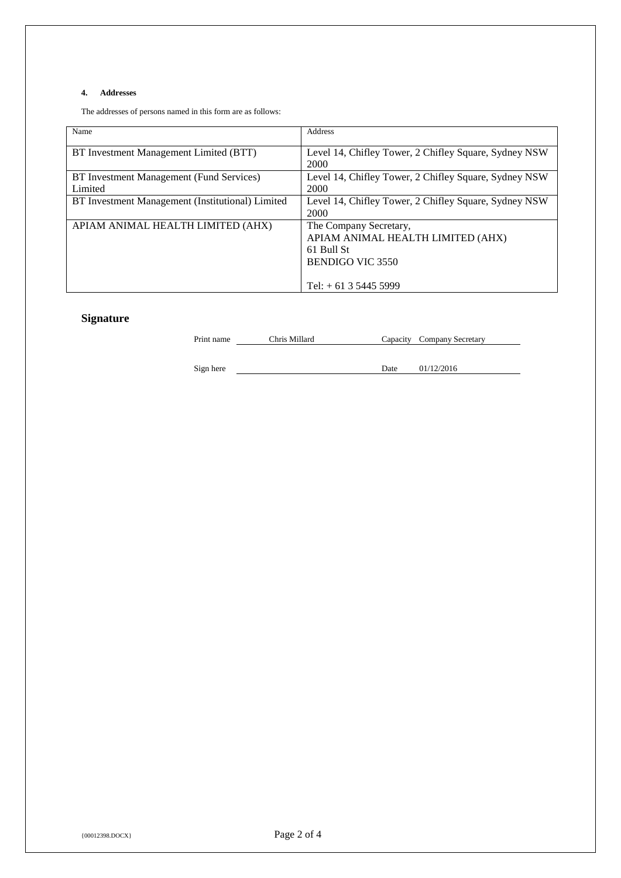## **4. Addresses**

The addresses of persons named in this form are as follows:

| Name                                                | Address                                                                                              |
|-----------------------------------------------------|------------------------------------------------------------------------------------------------------|
| BT Investment Management Limited (BTT)              | Level 14, Chifley Tower, 2 Chifley Square, Sydney NSW<br>2000                                        |
| BT Investment Management (Fund Services)<br>Limited | Level 14, Chifley Tower, 2 Chifley Square, Sydney NSW<br>2000                                        |
| BT Investment Management (Institutional) Limited    | Level 14, Chifley Tower, 2 Chifley Square, Sydney NSW<br>2000                                        |
| APIAM ANIMAL HEALTH LIMITED (AHX)                   | The Company Secretary,<br>APIAM ANIMAL HEALTH LIMITED (AHX)<br>61 Bull St<br><b>BENDIGO VIC 3550</b> |
|                                                     | Tel: $+ 61$ 3 5445 5999                                                                              |

# **Signature**

Print name Chris Millard Capacity Company Secretary

Sign here Date 01/12/2016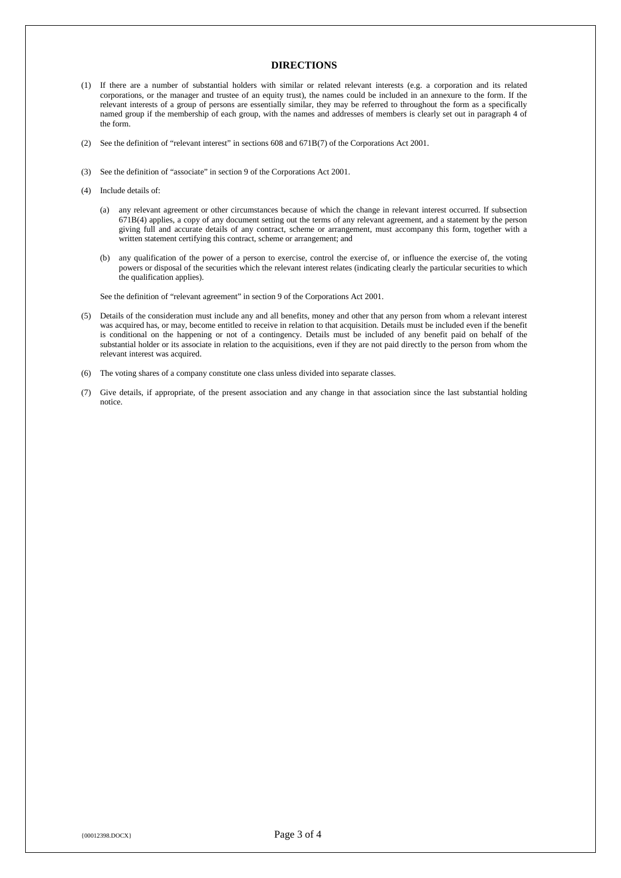## **DIRECTIONS**

- (1) If there are a number of substantial holders with similar or related relevant interests (e.g. a corporation and its related corporations, or the manager and trustee of an equity trust), the names could be included in an annexure to the form. If the relevant interests of a group of persons are essentially similar, they may be referred to throughout the form as a specifically named group if the membership of each group, with the names and addresses of members is clearly set out in paragraph 4 of the form.
- (2) See the definition of "relevant interest" in sections 608 and 671B(7) of the Corporations Act 2001.
- (3) See the definition of "associate" in section 9 of the Corporations Act 2001.
- (4) Include details of:
	- (a) any relevant agreement or other circumstances because of which the change in relevant interest occurred. If subsection 671B(4) applies, a copy of any document setting out the terms of any relevant agreement, and a statement by the person giving full and accurate details of any contract, scheme or arrangement, must accompany this form, together with a written statement certifying this contract, scheme or arrangement; and
	- (b) any qualification of the power of a person to exercise, control the exercise of, or influence the exercise of, the voting powers or disposal of the securities which the relevant interest relates (indicating clearly the particular securities to which the qualification applies).

See the definition of "relevant agreement" in section 9 of the Corporations Act 2001.

- (5) Details of the consideration must include any and all benefits, money and other that any person from whom a relevant interest was acquired has, or may, become entitled to receive in relation to that acquisition. Details must be included even if the benefit is conditional on the happening or not of a contingency. Details must be included of any benefit paid on behalf of the substantial holder or its associate in relation to the acquisitions, even if they are not paid directly to the person from whom the relevant interest was acquired.
- (6) The voting shares of a company constitute one class unless divided into separate classes.
- (7) Give details, if appropriate, of the present association and any change in that association since the last substantial holding notice.